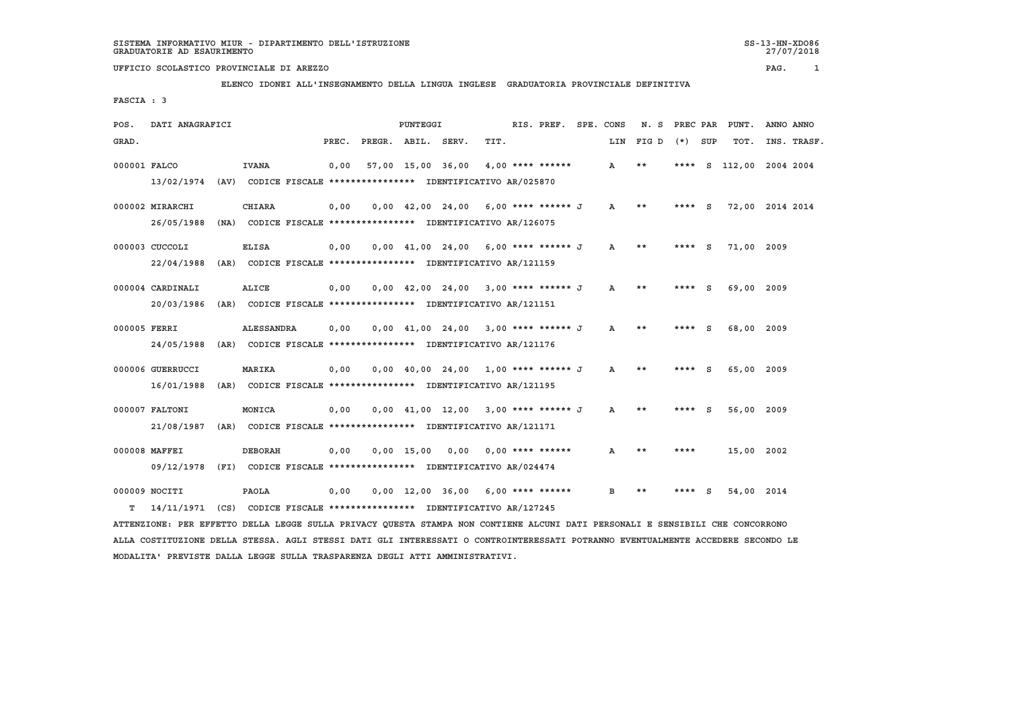27/07/2018

## **UFFICIO SCOLASTICO PROVINCIALE DI AREZZO PAG. 1**

## **ELENCO IDONEI ALL'INSEGNAMENTO DELLA LINGUA INGLESE GRADUATORIA PROVINCIALE DEFINITIVA**

 **FASCIA : 3**

| POS.         | DATI ANAGRAFICI                                                         |      |                                                               |       |                    | PUNTEGGI     |                                                                       |      | RIS. PREF.         | SPE. CONS    | N.S       | PREC PAR |     | PUNT.                   | ANNO ANNO   |
|--------------|-------------------------------------------------------------------------|------|---------------------------------------------------------------|-------|--------------------|--------------|-----------------------------------------------------------------------|------|--------------------|--------------|-----------|----------|-----|-------------------------|-------------|
| GRAD.        |                                                                         |      |                                                               | PREC. | PREGR. ABIL. SERV. |              |                                                                       | TIT. |                    |              | LIN FIG D | $(*)$    | SUP | TOT.                    | INS. TRASF. |
|              |                                                                         |      |                                                               |       |                    |              | 57,00 15,00 36,00                                                     |      |                    |              | **        |          |     | **** S 112,00 2004 2004 |             |
| 000001 FALCO |                                                                         |      | <b>IVANA</b>                                                  | 0.00  |                    |              |                                                                       |      | $4.00$ **** ****** | A            |           |          |     |                         |             |
|              | 13/02/1974 (AV) CODICE FISCALE *************** IDENTIFICATIVO AR/025870 |      |                                                               |       |                    |              |                                                                       |      |                    |              |           |          |     |                         |             |
|              | 000002 MIRARCHI                                                         |      | <b>CHIARA</b>                                                 | 0.00  |                    |              | $0.00 \quad 42.00 \quad 24.00 \quad 6.00$ **** ****** J               |      |                    | A            | **        | **** $S$ |     | 72,00 2014 2014         |             |
|              |                                                                         |      |                                                               |       |                    |              |                                                                       |      |                    |              |           |          |     |                         |             |
|              | 26/05/1988                                                              | (NA) |                                                               |       |                    |              | CODICE FISCALE **************** IDENTIFICATIVO AR/126075              |      |                    |              |           |          |     |                         |             |
|              | 000003 CUCCOLI                                                          |      | <b>ELISA</b>                                                  | 0,00  |                    |              | $0.00 \quad 41.00 \quad 24.00 \quad 6.00$ **** ****** J               |      |                    | $\mathbf{A}$ | $***$     | $***$ S  |     | 71,00 2009              |             |
|              | 22/04/1988                                                              | (AR) |                                                               |       |                    |              | CODICE FISCALE **************** IDENTIFICATIVO AR/121159              |      |                    |              |           |          |     |                         |             |
|              |                                                                         |      |                                                               |       |                    |              |                                                                       |      |                    |              |           |          |     |                         |             |
|              | 000004 CARDINALI                                                        |      | <b>ALICE</b>                                                  | 0,00  |                    |              | $0.00 \quad 42.00 \quad 24.00 \quad 3.00 \quad *** \quad *** \quad J$ |      |                    | A            | **        | **** S   |     | 69,00 2009              |             |
|              | 20/03/1986                                                              |      | (AR) CODICE FISCALE **************** IDENTIFICATIVO AR/121151 |       |                    |              |                                                                       |      |                    |              |           |          |     |                         |             |
|              |                                                                         |      |                                                               |       |                    |              |                                                                       |      |                    |              |           |          |     |                         |             |
| 000005 FERRI |                                                                         |      | <b>ALESSANDRA</b>                                             | 0.00  |                    |              | $0.00$ 41.00 24.00 3.00 **** ****** J                                 |      |                    | $\mathbf{A}$ | **        | **** S   |     | 68,00 2009              |             |
|              | 24/05/1988                                                              |      | (AR) CODICE FISCALE **************** IDENTIFICATIVO AR/121176 |       |                    |              |                                                                       |      |                    |              |           |          |     |                         |             |
|              |                                                                         |      |                                                               |       |                    |              |                                                                       |      |                    |              |           |          |     |                         |             |
|              | 000006 GUERRUCCI                                                        |      | MARIKA                                                        | 0,00  |                    |              | $0,00$ 40,00 24,00 1,00 **** ****** J A                               |      |                    |              | **        | $***$ S  |     | 65,00 2009              |             |
|              | 16/01/1988                                                              |      | (AR) CODICE FISCALE **************** IDENTIFICATIVO AR/121195 |       |                    |              |                                                                       |      |                    |              |           |          |     |                         |             |
|              |                                                                         |      |                                                               |       |                    |              |                                                                       |      |                    |              |           |          |     |                         |             |
|              | 000007 FALTONI                                                          |      | MONICA                                                        | 0,00  |                    |              | $0.00 \quad 41.00 \quad 12.00$                                        |      | 3,00 **** ****** J | $\mathbf{A}$ | **        | ****     | - S | 56,00 2009              |             |
|              | 21/08/1987                                                              |      | (AR) CODICE FISCALE **************** IDENTIFICATIVO AR/121171 |       |                    |              |                                                                       |      |                    |              |           |          |     |                         |             |
|              |                                                                         |      |                                                               |       |                    |              |                                                                       |      |                    |              |           |          |     |                         |             |
|              | 000008 MAFFEI                                                           |      | <b>DEBORAH</b>                                                | 0,00  |                    | $0.00$ 15.00 | 0,00                                                                  |      | $0.00$ **** ****** | A            | **        | ****     |     | 15,00 2002              |             |
|              | 09/12/1978 (FI)                                                         |      |                                                               |       |                    |              | CODICE FISCALE **************** IDENTIFICATIVO AR/024474              |      |                    |              |           |          |     |                         |             |
|              |                                                                         |      |                                                               |       |                    |              |                                                                       |      |                    |              |           |          |     |                         |             |
|              | 000009 NOCITI                                                           |      | <b>PAOLA</b>                                                  | 0.00  |                    |              | $0.00$ 12.00 36.00 6.00 **** ******                                   |      |                    | B.           | **        |          | s   | 54,00 2014              |             |
| т            | 14/11/1971                                                              | (CS) |                                                               |       |                    |              | CODICE FISCALE **************** IDENTIFICATIVO AR/127245              |      |                    |              |           |          |     |                         |             |

 **ATTENZIONE: PER EFFETTO DELLA LEGGE SULLA PRIVACY QUESTA STAMPA NON CONTIENE ALCUNI DATI PERSONALI E SENSIBILI CHE CONCORRONO ALLA COSTITUZIONE DELLA STESSA. AGLI STESSI DATI GLI INTERESSATI O CONTROINTERESSATI POTRANNO EVENTUALMENTE ACCEDERE SECONDO LE MODALITA' PREVISTE DALLA LEGGE SULLA TRASPARENZA DEGLI ATTI AMMINISTRATIVI.**